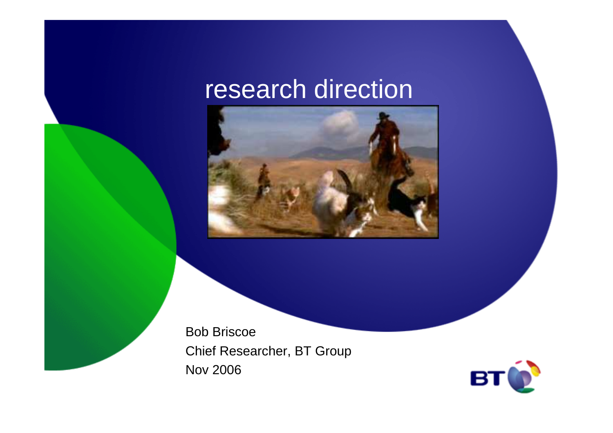## research direction



Bob Briscoe Chief Researcher, BT GroupNov 2006

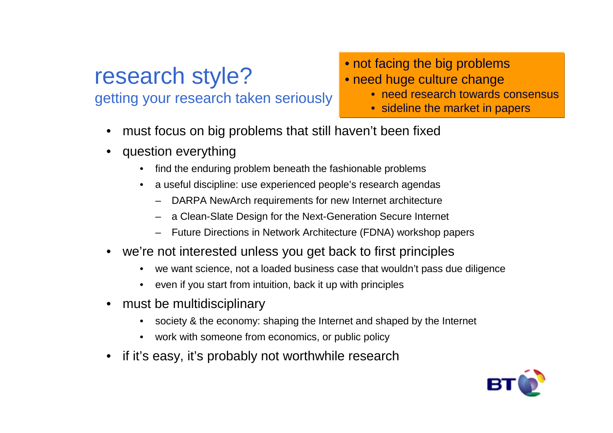### research style?getting your research taken seriously

#### • not facing the big problems

- need huge culture change
	- need research towards consensus
	- sideline the market in papers
- •must focus on big problems that still haven't been fixed
- question everything
	- find the enduring problem beneath the fashionable problems•
	- • a useful discipline: use experienced people's research agendas
		- DARPA NewArch requirements for new Internet architecture
		- a Clean-Slate Design for the Next-Generation Secure Internet
		- Future Directions in Network Architecture (FDNA) workshop papers
- • we're not interested unless you get back to first principles
	- •we want science, not a loaded business case that wouldn't pass due diligence
	- •even if you start from intuition, back it up with principles
- • must be multidisciplinary
	- society & the economy: shaping the Internet and shaped by the Internet
	- •work with someone from economics, or public policy
- •if it's easy, it's probably not worthwhile research

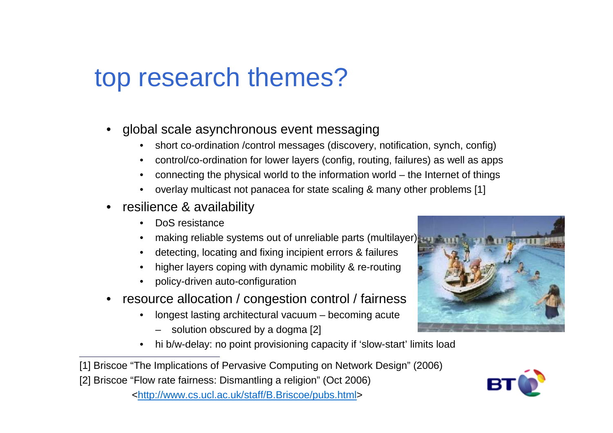# top research themes?

- • global scale asynchronous event messaging
	- short co-ordination /control messages (discovery, notification, synch, config) •
	- •control/co-ordination for lower layers (config, routing, failures) as well as apps
	- •connecting the physical world to the information world – the Internet of things
	- •overlay multicast not panacea for state scaling & many other problems [1]
- • resilience & availability
	- •DoS resistance
	- •making reliable systems out of unreliable parts (multilayer)
	- detecting, locating and fixing incipient errors & failures
	- •higher layers coping with dynamic mobility & re-routing
	- •policy-driven auto-configuration
- • resource allocation / congestion control / fairness
	- longest lasting architectural vacuum becoming acute•
		- solution obscured by a dogma [2]
	- •hi b/w-delay: no point provisioning capacity if 'slow-start' limits load
- [1] Briscoe "The Implications of Pervasive Computing on Network Design" (2006)
- [2] Briscoe "Flow rate fairness: Dismantling a religion" (Oct 2006)





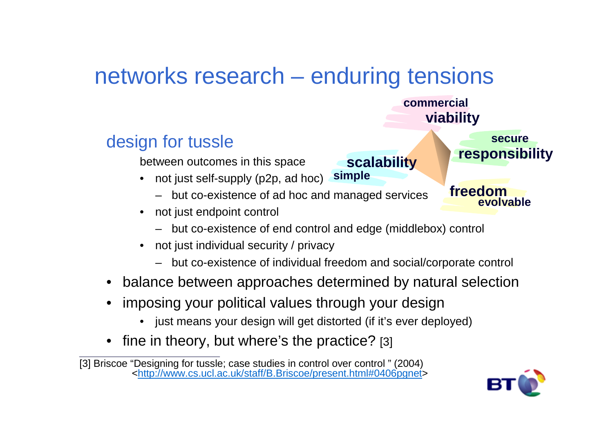## networks research – enduring tensions

#### design for tussle

between outcomes in this space

- not just self-supply (p2p, ad hoc) **simple**
	- but co-existence of ad hoc and managed services
- • not just endpoint control
	- but co-existence of end control and edge (middlebox) control
- • not just individual security / privacy
	- but co-existence of individual freedom and social/corporate control

**scalability**

- balance between approaches determined by natural selection
- • imposing your political values through your design
	- just means your design will get distorted (if it's ever deployed)•
- •fine in theory, but where's the practice? [3]



**responsibility**

**evolvable**

**secure**

**freedom**

**viability**

**commercial**

<sup>[3]</sup> Briscoe "Designing for tussle; case studies in control over control " (2004)<br><<u>http://www.cs.ucl.ac.uk/staff/B.Briscoe/present.html#0406pgnet</u>>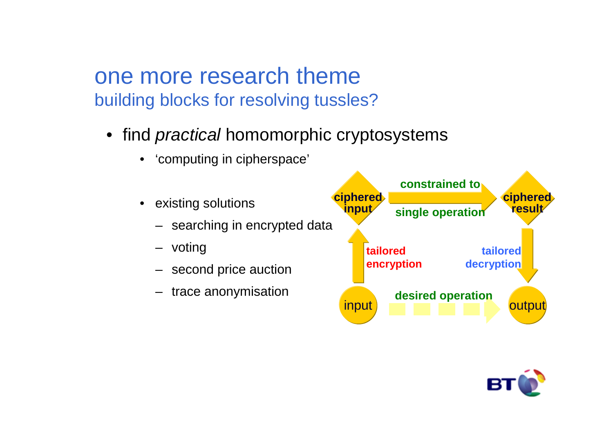one more research themebuilding blocks for resolving tussles?

- $\bullet \,$  find *practical* homomorphic cryptosystems
	- •'computing in cipherspace'
	- • existing solutions
		- searching in encrypted data
		- voting
		- second price auction
		- trace anonymisation